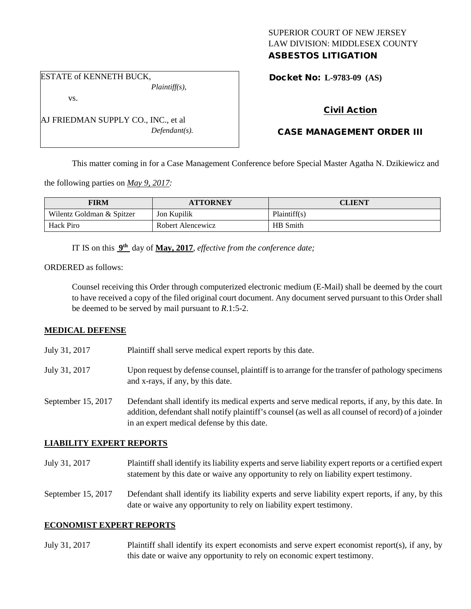### SUPERIOR COURT OF NEW JERSEY LAW DIVISION: MIDDLESEX COUNTY ASBESTOS LITIGATION

ESTATE of KENNETH BUCK, *Plaintiff(s),*

vs.

AJ FRIEDMAN SUPPLY CO., INC., et al *Defendant(s).* Docket No: **L-9783-09 (AS)** 

# Civil Action

## CASE MANAGEMENT ORDER III

This matter coming in for a Case Management Conference before Special Master Agatha N. Dzikiewicz and

the following parties on *May 9, 2017:*

| FIRM                      | <b>ATTORNEY</b>   | CLIENT       |
|---------------------------|-------------------|--------------|
| Wilentz Goldman & Spitzer | Jon Kupilik       | Plaintiff(s) |
| Hack Piro                 | Robert Alencewicz | HB Smith     |

IT IS on this **9th** day of **May, 2017**, *effective from the conference date;*

### ORDERED as follows:

Counsel receiving this Order through computerized electronic medium (E-Mail) shall be deemed by the court to have received a copy of the filed original court document. Any document served pursuant to this Order shall be deemed to be served by mail pursuant to *R*.1:5-2.

### **MEDICAL DEFENSE**

- July 31, 2017 Plaintiff shall serve medical expert reports by this date.
- July 31, 2017 Upon request by defense counsel, plaintiff is to arrange for the transfer of pathology specimens and x-rays, if any, by this date.
- September 15, 2017 Defendant shall identify its medical experts and serve medical reports, if any, by this date. In addition, defendant shall notify plaintiff's counsel (as well as all counsel of record) of a joinder in an expert medical defense by this date.

### **LIABILITY EXPERT REPORTS**

July 31, 2017 Plaintiff shall identify its liability experts and serve liability expert reports or a certified expert statement by this date or waive any opportunity to rely on liability expert testimony.

September 15, 2017 Defendant shall identify its liability experts and serve liability expert reports, if any, by this date or waive any opportunity to rely on liability expert testimony.

### **ECONOMIST EXPERT REPORTS**

July 31, 2017 Plaintiff shall identify its expert economists and serve expert economist report(s), if any, by this date or waive any opportunity to rely on economic expert testimony.